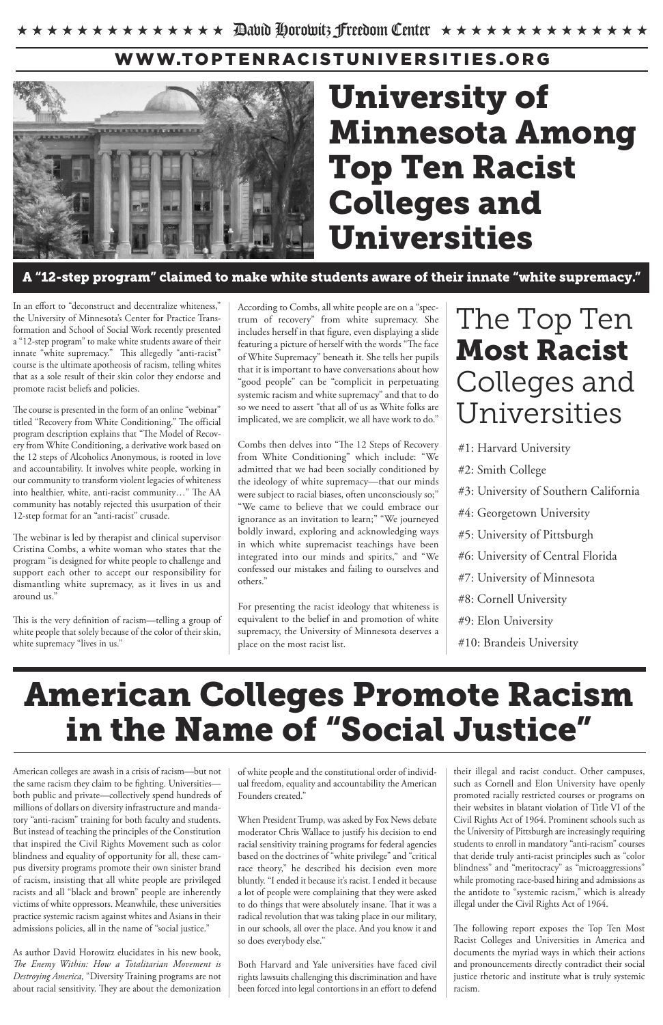# University of Minnesota Among Top Ten Racist Colleges and Universities

# American Colleges Promote Racism in the Name of "Social Justice"

In an effort to "deconstruct and decentralize whiteness," the University of Minnesota's Center for Practice Transformation and School of Social Work recently presented a "12-step program" to make white students aware of their innate "white supremacy." This allegedly "anti-racist" course is the ultimate apotheosis of racism, telling whites that as a sole result of their skin color they endorse and promote racist beliefs and policies.

The course is presented in the form of an online "webinar" titled "Recovery from White Conditioning." The official program description explains that "The Model of Recovery from White Conditioning, a derivative work based on the 12 steps of Alcoholics Anonymous, is rooted in love and accountability. It involves white people, working in our community to transform violent legacies of whiteness into healthier, white, anti-racist community..." The AA community has notably rejected this usurpation of their 12-step format for an "anti-racist" crusade.

The webinar is led by therapist and clinical supervisor Cristina Combs, a white woman who states that the program "is designed for white people to challenge and support each other to accept our responsibility for dismantling white supremacy, as it lives in us and around us."

This is the very definition of racism—telling a group of white people that solely because of the color of their skin, white supremacy "lives in us."

Combs then delves into "The 12 Steps of Recovery from White Conditioning" which include: "We admitted that we had been socially conditioned by the ideology of white supremacy—that our minds were subject to racial biases, often unconsciously so;" "We came to believe that we could embrace our ignorance as an invitation to learn;" "We journeyed boldly inward, exploring and acknowledging ways in which white supremacist teachings have been integrated into our minds and spirits," and "We confessed our mistakes and failing to ourselves and others."

As author David Horowitz elucidates in his new book, *e Enemy Within: How a Totalitarian Movement is Destroying America*, "Diversity Training programs are not about racial sensitivity. They are about the demonization According to Combs, all white people are on a "spectrum of recovery" from white supremacy. She includes herself in that figure, even displaying a slide featuring a picture of herself with the words "The face of White Supremacy" beneath it. She tells her pupils that it is important to have conversations about how "good people" can be "complicit in perpetuating systemic racism and white supremacy" and that to do so we need to assert "that all of us as White folks are implicated, we are complicit, we all have work to do."

When President Trump, was asked by Fox News debate moderator Chris Wallace to justify his decision to end racial sensitivity training programs for federal agencies based on the doctrines of "white privilege" and "critical race theory," he described his decision even more bluntly. "I ended it because it's racist. I ended it because a lot of people were complaining that they were asked to do things that were absolutely insane. That it was a radical revolution that was taking place in our military, in our schools, all over the place. And you know it and so does everybody else."

For presenting the racist ideology that whiteness is equivalent to the belief in and promotion of white supremacy, the University of Minnesota deserves a place on the most racist list.

> The following report exposes the Top Ten Most Racist Colleges and Universities in America and documents the myriad ways in which their actions and pronouncements directly contradict their social justice rhetoric and institute what is truly systemic racism.

American colleges are awash in a crisis of racism—but not the same racism they claim to be fighting. Universities both public and private—collectively spend hundreds of millions of dollars on diversity infrastructure and mandatory "anti-racism" training for both faculty and students. But instead of teaching the principles of the Constitution that inspired the Civil Rights Movement such as color blindness and equality of opportunity for all, these campus diversity programs promote their own sinister brand of racism, insisting that all white people are privileged racists and all "black and brown" people are inherently victims of white oppressors. Meanwhile, these universities practice systemic racism against whites and Asians in their admissions policies, all in the name of "social justice."

of white people and the constitutional order of individual freedom, equality and accountability the American Founders created."

Both Harvard and Yale universities have faced civil rights lawsuits challenging this discrimination and have been forced into legal contortions in an effort to defend their illegal and racist conduct. Other campuses, such as Cornell and Elon University have openly promoted racially restricted courses or programs on their websites in blatant violation of Title VI of the Civil Rights Act of 1964. Prominent schools such as the University of Pittsburgh are increasingly requiring students to enroll in mandatory "anti-racism" courses that deride truly anti-racist principles such as "color blindness" and "meritocracy" as "microaggressions" while promoting race-based hiring and admissions as the antidote to "systemic racism," which is already illegal under the Civil Rights Act of 1964.

## **WWW.TO PTENRAC ISTUNIVE R SITIES.O RG**



### A "12-step program" claimed to make white students aware of their innate "white supremacy."

## The Top Ten Most Racist Colleges and Universities

- #1: Harvard University
- #2: Smith College
- #3: University of Southern California
- #4: Georgetown University
- #5: University of Pittsburgh
- #6: University of Central Florida
- #7: University of Minnesota
- #8: Cornell University
- #9: Elon University
- #10: Brandeis University